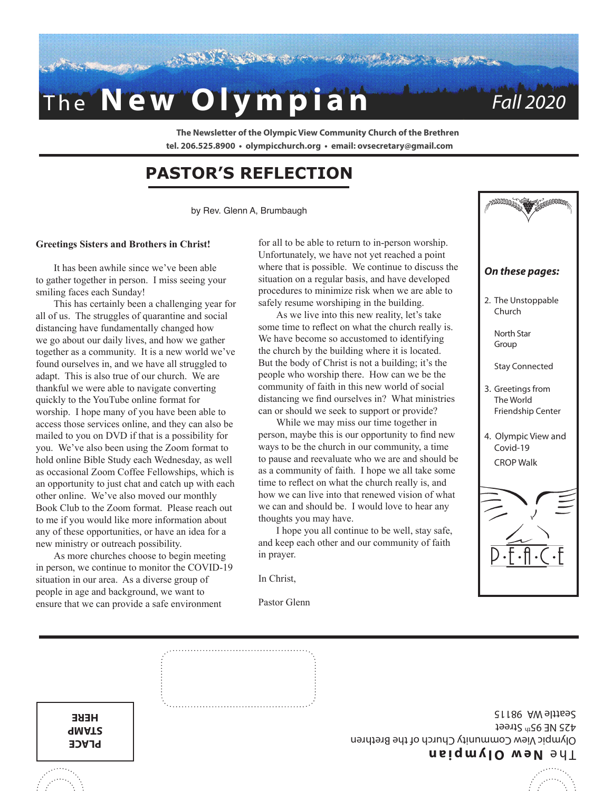

**The Newsletter of the Olympic View Community Church of the Brethren tel. 206.525.8900 • olympicchurch.org • email: ovsecretary@gmail.com**

## **PASTOR'S REFLECTION**

by Rev. Glenn A, Brumbaugh

#### **Greetings Sisters and Brothers in Christ!**

It has been awhile since we've been able to gather together in person. I miss seeing your smiling faces each Sunday!

This has certainly been a challenging year for all of us. The struggles of quarantine and social distancing have fundamentally changed how we go about our daily lives, and how we gather together as a community. It is a new world we've found ourselves in, and we have all struggled to adapt. This is also true of our church. We are thankful we were able to navigate converting quickly to the YouTube online format for worship. I hope many of you have been able to access those services online, and they can also be mailed to you on DVD if that is a possibility for you. We've also been using the Zoom format to hold online Bible Study each Wednesday, as well as occasional Zoom Coffee Fellowships, which is an opportunity to just chat and catch up with each other online. We've also moved our monthly Book Club to the Zoom format. Please reach out to me if you would like more information about any of these opportunities, or have an idea for a new ministry or outreach possibility.

As more churches choose to begin meeting in person, we continue to monitor the COVID-19 situation in our area. As a diverse group of people in age and background, we want to ensure that we can provide a safe environment

> **PLACE STAMP HERE**

for all to be able to return to in-person worship. Unfortunately, we have not yet reached a point where that is possible. We continue to discuss the situation on a regular basis, and have developed procedures to minimize risk when we are able to safely resume worshiping in the building.

As we live into this new reality, let's take some time to reflect on what the church really is. We have become so accustomed to identifying the church by the building where it is located. But the body of Christ is not a building; it's the people who worship there. How can we be the community of faith in this new world of social distancing we find ourselves in? What ministries can or should we seek to support or provide?

While we may miss our time together in

person, maybe this is our opportunity to find new ways to be the church in our community, a time to pause and reevaluate who we are and should be as a community of faith. I hope we all take some

time to reflect on what the church really is, and how we can live into that renewed vision of what we can and should be. I would love to hear any

I hope you all continue to be well, stay safe, and keep each other and our community of faith





**New Olympian** 

425 NE 95th Street Seattle WA 98115

Olympic View Community Church of the Brethren

in prayer.

Pastor Glenn

In Christ,

thoughts you may have.

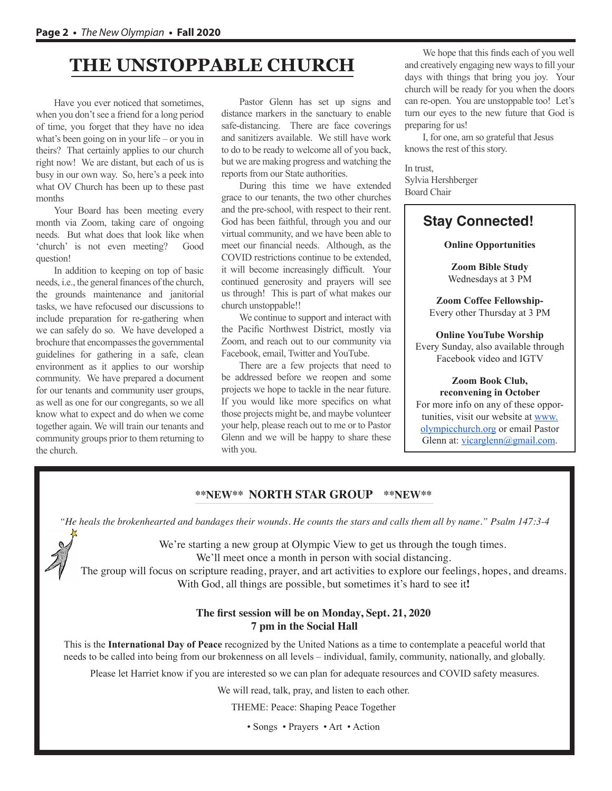## **THE UNSTOPPABLE CHURCH**

Have you ever noticed that sometimes, when you don't see a friend for a long period of time, you forget that they have no idea what's been going on in your life – or you in theirs? That certainly applies to our church right now! We are distant, but each of us is busy in our own way. So, here's a peek into what OV Church has been up to these past months

Your Board has been meeting every month via Zoom, taking care of ongoing needs. But what does that look like when 'church' is not even meeting? Good question!

In addition to keeping on top of basic needs, i.e., the general finances of the church, the grounds maintenance and janitorial tasks, we have refocused our discussions to include preparation for re-gathering when we can safely do so. We have developed a brochure that encompasses the governmental guidelines for gathering in a safe, clean environment as it applies to our worship community. We have prepared a document for our tenants and community user groups, as well as one for our congregants, so we all know what to expect and do when we come together again. We will train our tenants and community groups prior to them returning to the church.

Pastor Glenn has set up signs and distance markers in the sanctuary to enable safe-distancing. There are face coverings and sanitizers available. We still have work to do to be ready to welcome all of you back, but we are making progress and watching the reports from our State authorities.

During this time we have extended grace to our tenants, the two other churches and the pre-school, with respect to their rent. God has been faithful, through you and our virtual community, and we have been able to meet our financial needs. Although, as the COVID restrictions continue to be extended, it will become increasingly difficult. Your continued generosity and prayers will see us through! This is part of what makes our church unstoppable!!

We continue to support and interact with the Pacific Northwest District, mostly via Zoom, and reach out to our community via Facebook, email, Twitter and YouTube.

There are a few projects that need to be addressed before we reopen and some projects we hope to tackle in the near future. If you would like more specifics on what those projects might be, and maybe volunteer your help, please reach out to me or to Pastor Glenn and we will be happy to share these with you.

We hope that this finds each of you well and creatively engaging new ways to fill your days with things that bring you joy. Your church will be ready for you when the doors can re-open. You are unstoppable too! Let's turn our eyes to the new future that God is preparing for us!

I, for one, am so grateful that Jesus knows the rest of this story.

In trust, Sylvia Hershberger Board Chair

### **Stay Connected!**

#### **Online Opportunities**

**Zoom Bible Study** Wednesdays at 3 PM

**Zoom Coffee Fellowship-**Every other Thursday at 3 PM

**Online YouTube Worship**  Every Sunday, also available through Facebook video and IGTV

#### **Zoom Book Club, reconvening in October**

For more info on any of these opportunities, visit our website at www. olympicchurch.org or email Pastor Glenn at: vicarglenn@gmail.com.

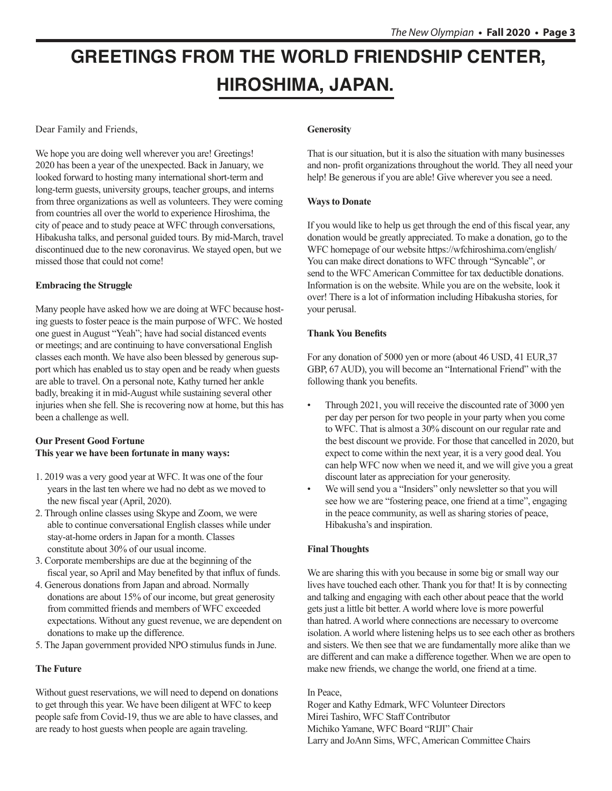# **GREETINGS FROM THE WORLD FRIENDSHIP CENTER, HIROSHIMA, JAPAN.**

Dear Family and Friends,

We hope you are doing well wherever you are! Greetings! 2020 has been a year of the unexpected. Back in January, we looked forward to hosting many international short-term and long-term guests, university groups, teacher groups, and interns from three organizations as well as volunteers. They were coming from countries all over the world to experience Hiroshima, the city of peace and to study peace at WFC through conversations, Hibakusha talks, and personal guided tours. By mid-March, travel discontinued due to the new coronavirus. We stayed open, but we missed those that could not come!

#### **Embracing the Struggle**

Many people have asked how we are doing at WFC because hosting guests to foster peace is the main purpose of WFC. We hosted one guest in August "Yeah"; have had social distanced events or meetings; and are continuing to have conversational English classes each month. We have also been blessed by generous support which has enabled us to stay open and be ready when guests are able to travel. On a personal note, Kathy turned her ankle badly, breaking it in mid-August while sustaining several other injuries when she fell. She is recovering now at home, but this has been a challenge as well.

#### **Our Present Good Fortune This year we have been fortunate in many ways:**

- 1. 2019 was a very good year at WFC. It was one of the four years in the last ten where we had no debt as we moved to the new fiscal year (April, 2020).
- 2. Through online classes using Skype and Zoom, we were able to continue conversational English classes while under stay-at-home orders in Japan for a month. Classes constitute about 30% of our usual income.
- 3. Corporate memberships are due at the beginning of the fiscal year, so April and May benefited by that influx of funds.
- 4. Generous donations from Japan and abroad. Normally donations are about 15% of our income, but great generosity from committed friends and members of WFC exceeded expectations. Without any guest revenue, we are dependent on donations to make up the difference.
- 5. The Japan government provided NPO stimulus funds in June.

#### **The Future**

Without guest reservations, we will need to depend on donations to get through this year. We have been diligent at WFC to keep people safe from Covid-19, thus we are able to have classes, and are ready to host guests when people are again traveling.

#### **Generosity**

That is our situation, but it is also the situation with many businesses and non- profit organizations throughout the world. They all need your help! Be generous if you are able! Give wherever you see a need.

#### **Ways to Donate**

If you would like to help us get through the end of this fiscal year, any donation would be greatly appreciated. To make a donation, go to the WFC homepage of our website https://wfchiroshima.com/english/ You can make direct donations to WFC through "Syncable", or send to the WFC American Committee for tax deductible donations. Information is on the website. While you are on the website, look it over! There is a lot of information including Hibakusha stories, for your perusal.

#### **Thank You Benefits**

For any donation of 5000 yen or more (about 46 USD, 41 EUR,37 GBP, 67 AUD), you will become an "International Friend" with the following thank you benefits.

- Through 2021, you will receive the discounted rate of 3000 yen per day per person for two people in your party when you come to WFC. That is almost a 30% discount on our regular rate and the best discount we provide. For those that cancelled in 2020, but expect to come within the next year, it is a very good deal. You can help WFC now when we need it, and we will give you a great discount later as appreciation for your generosity.
- We will send you a "Insiders" only newsletter so that you will see how we are "fostering peace, one friend at a time", engaging in the peace community, as well as sharing stories of peace, Hibakusha's and inspiration.

#### **Final Thoughts**

We are sharing this with you because in some big or small way our lives have touched each other. Thank you for that! It is by connecting and talking and engaging with each other about peace that the world gets just a little bit better. A world where love is more powerful than hatred. A world where connections are necessary to overcome isolation. A world where listening helps us to see each other as brothers and sisters. We then see that we are fundamentally more alike than we are different and can make a difference together. When we are open to make new friends, we change the world, one friend at a time.

#### In Peace,

Roger and Kathy Edmark, WFC Volunteer Directors Mirei Tashiro, WFC Staff Contributor Michiko Yamane, WFC Board "RIJI" Chair Larry and JoAnn Sims, WFC, American Committee Chairs